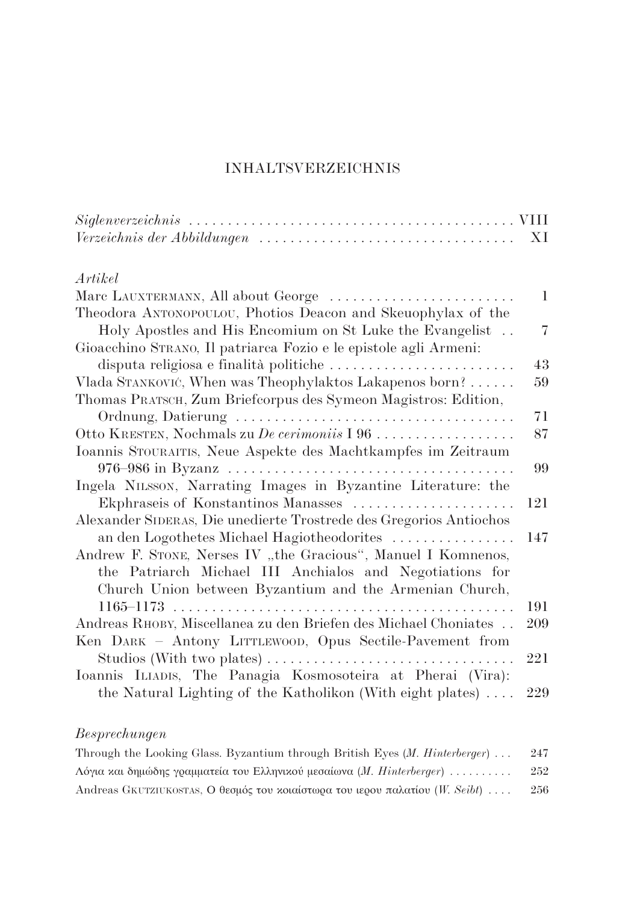## **INHALTSVERZEICHNIS**

| $Verzeichnis der Abbildungen \ldots \ldots \ldots \ldots \ldots \ldots \ldots \ldots \ldots \ldots$        | XI         |
|------------------------------------------------------------------------------------------------------------|------------|
| Artikel                                                                                                    |            |
| Marc LAUXTERMANN, All about George                                                                         | 1          |
| Theodora ANTONOPOULOU, Photios Deacon and Skeuophylax of the                                               | 7          |
| Holy Apostles and His Encomium on St Luke the Evangelist                                                   |            |
| Gioacchino STRANO, Il patriarca Fozio e le epistole agli Armeni:<br>disputa religiosa e finalità politiche | 43         |
| Vlada STANKOVIĆ, When was Theophylaktos Lakapenos born?                                                    | 59         |
| Thomas PRATSCH, Zum Briefcorpus des Symeon Magistros: Edition,                                             |            |
|                                                                                                            | 71         |
| Otto KRESTEN, Nochmals zu De cerimoniis I 96                                                               | 87         |
| Ioannis STOURAITIS, Neue Aspekte des Machtkampfes im Zeitraum                                              |            |
|                                                                                                            | 99         |
| Ingela NILSSON, Narrating Images in Byzantine Literature: the                                              |            |
| Ekphraseis of Konstantinos Manasses                                                                        | 121        |
| Alexander SIDERAS, Die unedierte Trostrede des Gregorios Antiochos                                         |            |
| an den Logothetes Michael Hagiotheodorites                                                                 | 147        |
| Andrew F. STONE, Nerses IV "the Gracious", Manuel I Komnenos,                                              |            |
| the Patriarch Michael III Anchialos and Negotiations for                                                   |            |
| Church Union between Byzantium and the Armenian Church,                                                    |            |
|                                                                                                            | 191        |
| Andreas RHOBY, Miscellanea zu den Briefen des Michael Choniates                                            | <b>209</b> |
| Ken DARK - Antony LITTLEWOOD, Opus Sectile-Pavement from                                                   |            |
| Studios (With two plates) $\dots \dots \dots \dots \dots \dots \dots \dots \dots \dots$                    | 221        |
| Ioannis ILIADIS, The Panagia Kosmosoteira at Pherai (Vira):                                                |            |
| the Natural Lighting of the Katholikon (With eight plates) $\dots$                                         | 229        |
|                                                                                                            |            |

## $\label{eq:resprech} Besprechungen$

| Through the Looking Glass. Byzantium through British Eyes $(M.$ Hinterberger)  | 247 |
|--------------------------------------------------------------------------------|-----|
| Λόγια και δημώδης γραμματεία του Ελληνικού μεσαίωνα ( <i>M. Hinterberger</i> ) | 252 |
| Andreas GKUTZIUKOSTAS, Ο θεσμός του κοιαίστωρα του ιερου παλατίου (W. Seibt)   | 256 |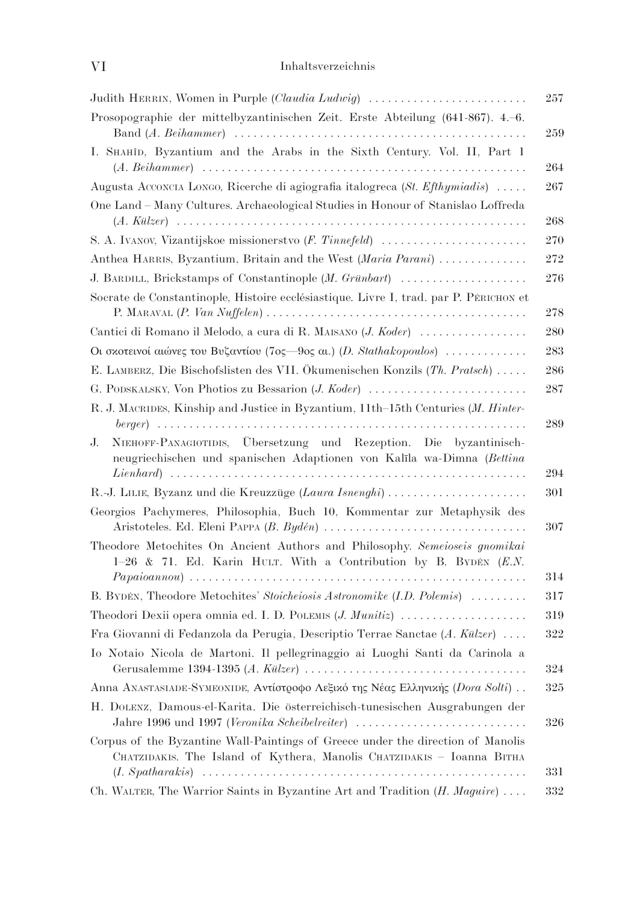| Judith HERRIN, Women in Purple (Claudia Ludwig)                                                                                                           | 257        |
|-----------------------------------------------------------------------------------------------------------------------------------------------------------|------------|
| Prosopographie der mittelbyzantinischen Zeit. Erste Abteilung (641-867). 4.-6.                                                                            | 259        |
| I. SHAHID, Byzantium and the Arabs in the Sixth Century. Vol. II, Part 1                                                                                  | 264        |
| Augusta Acconcra Longo, Ricerche di agiografia italogreca (St. Efthymiadis)                                                                               | 267        |
| One Land - Many Cultures. Archaeological Studies in Honour of Stanislao Loffreda                                                                          | $268\,$    |
| S. A. IVANOV, Vizantijskoe missionerstvo (F. Tinnefeld)                                                                                                   | 270        |
| Anthea HARRIS, Byzantium, Britain and the West (Maria Parani)                                                                                             | 272        |
| J. BARDILL, Brickstamps of Constantinople (M. Grünbart)                                                                                                   | 276        |
| Socrate de Constantinople, Histoire ecclésiastique. Livre I, trad. par P. PÉRICHON et                                                                     | 278        |
| Cantici di Romano il Melodo, a cura di R. MAISANO (J. Koder)                                                                                              | 280        |
| Οι σκοτεινοί αιώνες του Βυζαντίου (7ος-9ος αι.) ( <i>D. Stathakopoulos</i> )                                                                              | 283        |
| E. LAMBERZ, Die Bischofslisten des VII. Ökumenischen Konzils (Th. Pratsch)                                                                                | 286        |
| G. PODSKALSKY, Von Photios zu Bessarion (J. Koder)                                                                                                        | 287        |
| R. J. MACRIDES, Kinship and Justice in Byzantium, 11th-15th Centuries (M. Hinter-                                                                         | 289        |
| NIEHOFF-PANAGIOTIDIS, Übersetzung und Rezeption. Die byzantinisch-<br>J.<br>neugriechischen und spanischen Adaptionen von Kalīla wa-Dimna (Bettina        |            |
|                                                                                                                                                           | 294        |
| R.-J. LILIE, Byzanz und die Kreuzzüge (Laura Isnenghi)<br>Georgios Pachymeres, Philosophia, Buch 10, Kommentar zur Metaphysik des                         | 301        |
| Theodore Metochites On Ancient Authors and Philosophy. Semeioseis gnomikai<br>1-26 & 71. Ed. Karin HULT. With a Contribution by B. BYDÉN $(E.N.$          | 307<br>314 |
| B. BYDÉN, Theodore Metochites' Stoicheiosis Astronomike (I.D. Polemis)                                                                                    | 317        |
| Theodori Dexii opera omnia ed. I. D. POLEMIS $(J.$ <i>Munitiz</i> $) \dots \dots \dots \dots \dots$                                                       | 319        |
| Fra Giovanni di Fedanzola da Perugia, Descriptio Terrae Sanctae $(A.$ Külzer $) \ldots$ .                                                                 | 322        |
| Io Notaio Nicola de Martoni. Il pellegrinaggio ai Luoghi Santi da Carinola a                                                                              | 324        |
| Anna ΑΝΑSΤΑSΙΑDE-SΥΜΕΟΝΙDE, Αντίστροφο Λεξικό της Νέας Ελληνικής (Dora Solti)                                                                             | $325\,$    |
| H. DOLENZ, Damous-el-Karita. Die österreichisch-tunesischen Ausgrabungen der<br>Jahre 1996 und 1997 (Veronika Scheibelreiter)                             | 326        |
| Corpus of the Byzantine Wall-Paintings of Greece under the direction of Manolis<br>CHATZIDAKIS. The Island of Kythera, Manolis CHATZIDAKIS - Ioanna BITHA | 331        |
| Ch. WALTER, The Warrior Saints in Byzantine Art and Tradition $(H. Maguire) \dots$                                                                        | 332        |